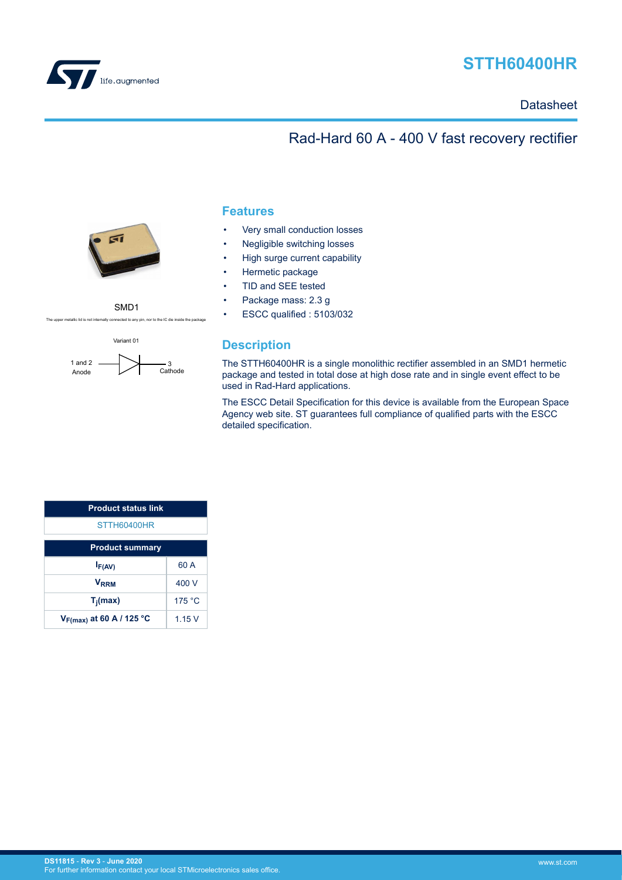<span id="page-0-0"></span>

# **STTH60400HR**

**Datasheet** 

## Rad-Hard 60 A - 400 V fast recovery rectifier



SMD1



metallic lid is not internally connected to any pin, nor to the IC die inside the packa

### **Features**

- Very small conduction losses
- Negligible switching losses
- High surge current capability
- Hermetic package
- TID and SEE tested
- Package mass: 2.3 g
- ESCC qualified : 5103/032

### **Description**

The STTH60400HR is a single monolithic rectifier assembled in an SMD1 hermetic package and tested in total dose at high dose rate and in single event effect to be used in Rad-Hard applications.

The ESCC Detail Specification for this device is available from the European Space Agency web site. ST guarantees full compliance of qualified parts with the ESCC detailed specification.

| <b>Product status link</b>           |        |  |  |
|--------------------------------------|--------|--|--|
| STTH60400HR                          |        |  |  |
| <b>Product summary</b>               |        |  |  |
| $I_{F(AV)}$                          | 60 A   |  |  |
| <b>V</b> <sub>RRM</sub>              | 400 V  |  |  |
| $T_i$ (max)                          | 175 °C |  |  |
| V <sub>F(max)</sub> at 60 A / 125 °C | 1.15V  |  |  |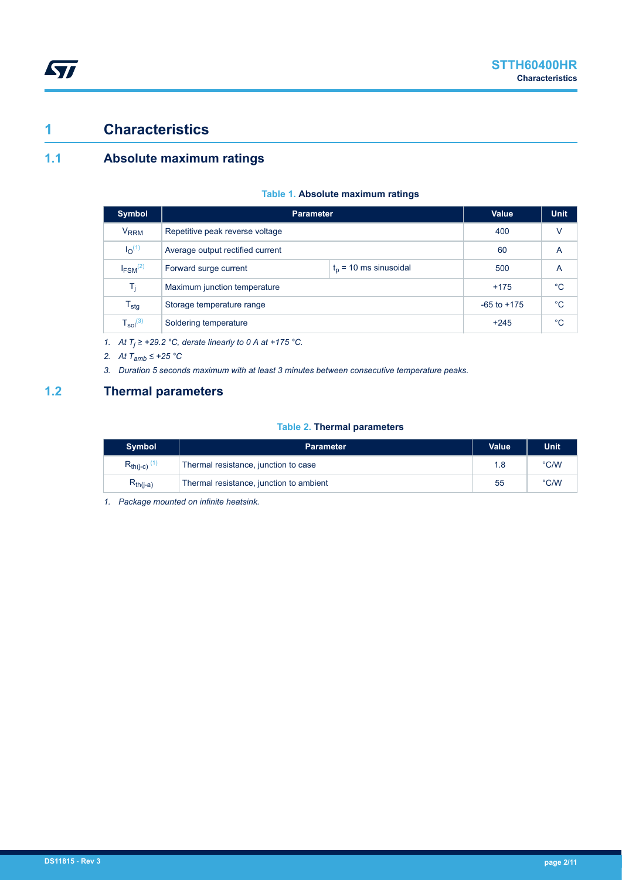## **1 Characteristics**

ST

## **1.1 Absolute maximum ratings**

|  |  |  | Table 1. Absolute maximum ratings |  |
|--|--|--|-----------------------------------|--|
|--|--|--|-----------------------------------|--|

| <b>Symbol</b>                 |                                                   | Value<br><b>Parameter</b> |             |             |  |  |
|-------------------------------|---------------------------------------------------|---------------------------|-------------|-------------|--|--|
| <b>V<sub>RRM</sub></b>        | Repetitive peak reverse voltage                   |                           | 400         | V           |  |  |
| I <sub>O</sub> <sup>(1)</sup> | Average output rectified current                  | 60                        | A           |             |  |  |
| $I_{FSM}$ <sup>(2)</sup>      | $t_0$ = 10 ms sinusoidal<br>Forward surge current |                           | 500         | A           |  |  |
| T,                            | Maximum junction temperature                      | $+175$                    | $^{\circ}C$ |             |  |  |
| $\mathsf{T}_{\textsf{stg}}$   | $-65$ to $+175$<br>Storage temperature range      |                           |             | $^{\circ}C$ |  |  |
| $T_{sol}^{(3)}$               | Soldering temperature                             | $+245$                    | $^{\circ}C$ |             |  |  |

*1.* At  $T_j$  ≥ +29.2 °C, derate linearly to 0 A at +175 °C.

*2. At Tamb ≤ +25 °C*

*3. Duration 5 seconds maximum with at least 3 minutes between consecutive temperature peaks.*

### **1.2 Thermal parameters**

### **Table 2. Thermal parameters**

| <b>Symbol</b>                | <b>Parameter</b>                        | <b>Value</b> | <b>Unit</b> |
|------------------------------|-----------------------------------------|--------------|-------------|
| $R_{th(i-c)}$ <sup>(1)</sup> | Thermal resistance, junction to case    | 1.8          | °C/W        |
| $R_{th(i-a)}$                | Thermal resistance, junction to ambient | 55           | °C/W        |

*1. Package mounted on infinite heatsink.*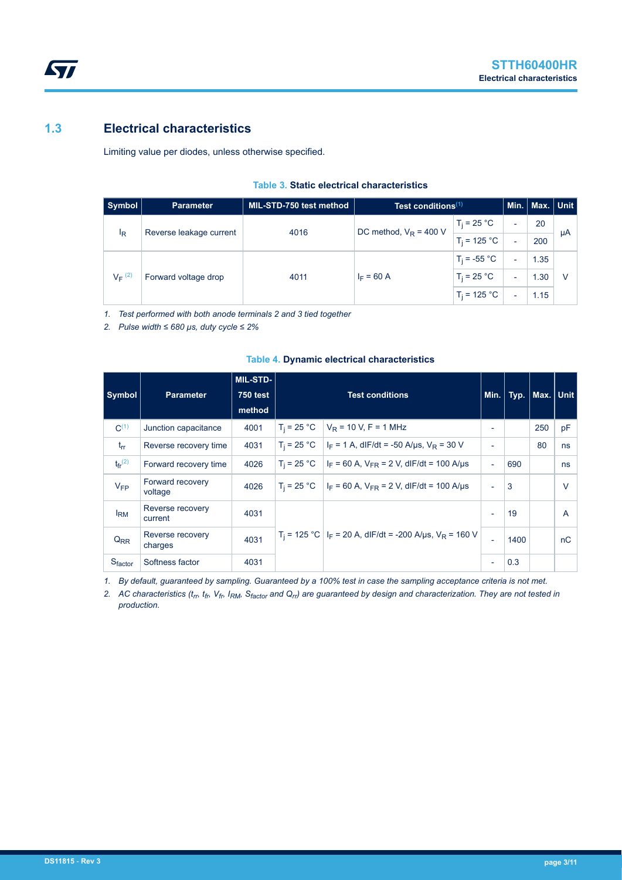## **1.3 Electrical characteristics**

**STI** 

Limiting value per diodes, unless otherwise specified.

|  |  |  | Table 3. Static electrical characteristics |
|--|--|--|--------------------------------------------|
|--|--|--|--------------------------------------------|

| <b>Symbol</b>        | <b>Parameter</b>        | MIL-STD-750 test method | Test conditions $(1)$    |                |   | Min.   Max.   Unit |    |
|----------------------|-------------------------|-------------------------|--------------------------|----------------|---|--------------------|----|
|                      |                         | 4016                    | DC method, $V_R = 400$ V | $T_i = 25 °C$  |   | 20                 |    |
| <sup>I</sup> R       | Reverse leakage current |                         |                          | $T_i = 125 °C$ | - | 200                | μA |
|                      |                         |                         |                          | $T_i = -55 °C$ | - | 1.35               |    |
| $V_F$ <sup>(2)</sup> | Forward voltage drop    | 4011                    | $I_F = 60 A$             | $T_i = 25 °C$  |   | 1.30               |    |
|                      |                         |                         |                          | $T_i = 125 °C$ |   | 1.15               |    |

*1. Test performed with both anode terminals 2 and 3 tied together*

*2. Pulse width ≤ 680 µs, duty cycle ≤ 2%*

| <b>Symbol</b>           | <b>Parameter</b>            | <b>MIL-STD-</b><br><b>750 test</b><br>method | <b>Test conditions</b> |                                                                                    |                          | Min. Typ. | Max. Unit |        |
|-------------------------|-----------------------------|----------------------------------------------|------------------------|------------------------------------------------------------------------------------|--------------------------|-----------|-----------|--------|
| $C^{(1)}$               | Junction capacitance        | 4001                                         | $T_i = 25 °C$          | $V_R$ = 10 V, F = 1 MHz                                                            | $\overline{\phantom{0}}$ |           | 250       | pF     |
| $t_{rr}$                | Reverse recovery time       | 4031                                         | $T_i = 25 °C$          | $I_F = 1$ A, dIF/dt = -50 A/µs, $V_R = 30$ V                                       | $\overline{\phantom{a}}$ |           | 80        | ns     |
| $t_{fr}$ <sup>(2)</sup> | Forward recovery time       | 4026                                         | $T_i = 25 °C$          | $I_F$ = 60 A, $V_{FR}$ = 2 V, dIF/dt = 100 A/us                                    | $\blacksquare$           | 690       |           | ns     |
| $V_{FP}$                | Forward recovery<br>voltage | 4026                                         | $T_i = 25 °C$          | $I_F$ = 60 A, $V_{FR}$ = 2 V, dIF/dt = 100 A/µs                                    | ٠                        | 3         |           | $\vee$ |
| $I_{\rm RM}$            | Reverse recovery<br>current | 4031                                         |                        |                                                                                    | $\blacksquare$           | 19        |           | A      |
| $Q_{RR}$                | Reverse recovery<br>charges | 4031                                         |                        | $T_i$ = 125 °C   I <sub>F</sub> = 20 A, dIF/dt = -200 A/µs, V <sub>R</sub> = 160 V | $\blacksquare$           | 1400      |           | nC     |
| Sfactor                 | Softness factor             | 4031                                         |                        |                                                                                    | $\overline{\phantom{a}}$ | 0.3       |           |        |

#### **Table 4. Dynamic electrical characteristics**

*1. By default, guaranteed by sampling. Guaranteed by a 100% test in case the sampling acceptance criteria is not met.*

*2. AC characteristics (trr, tfr, Vfr, IRM, Sfactor and Qrr) are guaranteed by design and characterization. They are not tested in production.*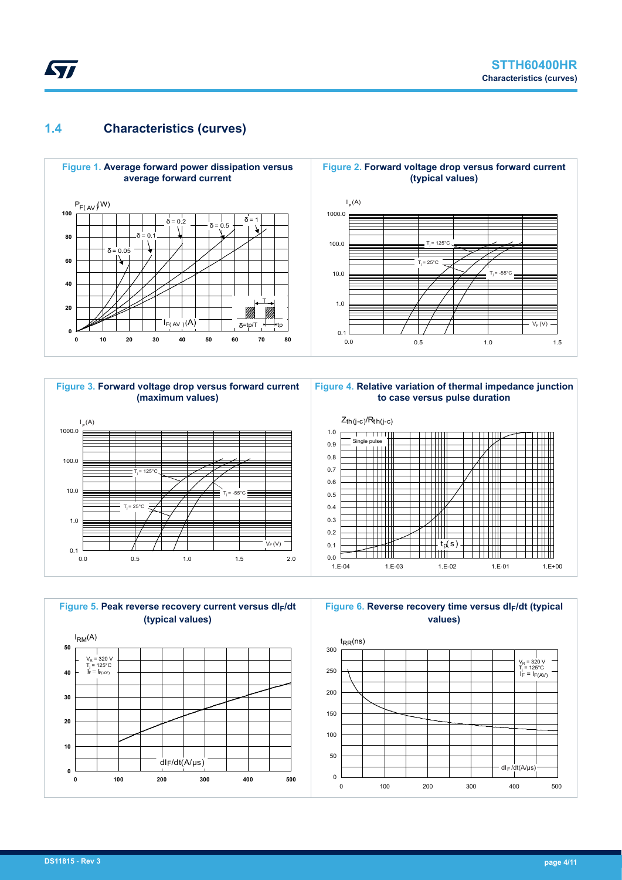## **1.4 Characteristics (curves)**

*Lyt* 





**Figure 4. Relative variation of thermal impedance junction to case versus pulse duration**



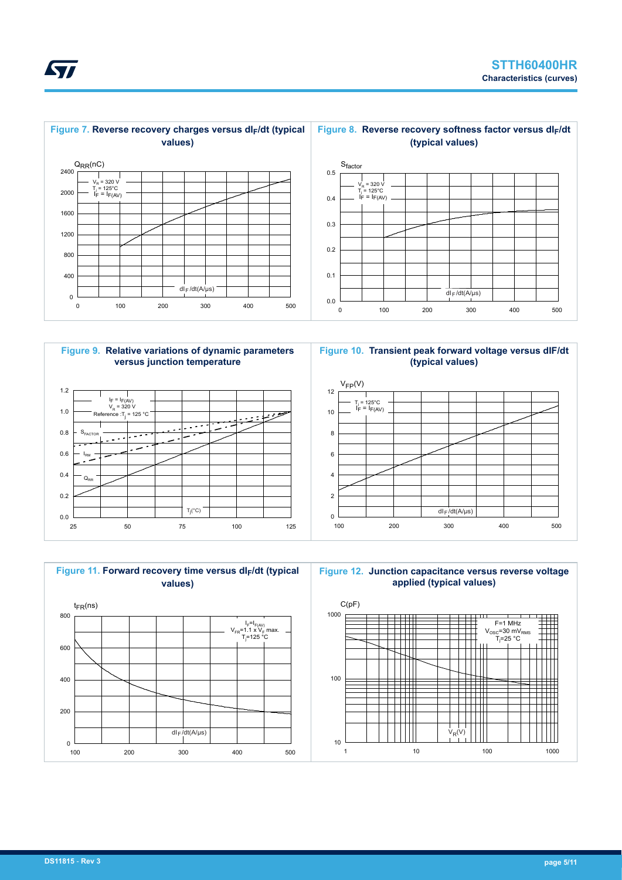



**Figure 9. Relative variations of dynamic parameters versus junction temperature**



**Figure 10. Transient peak forward voltage versus dIF/dt (typical values)**





*Lyt*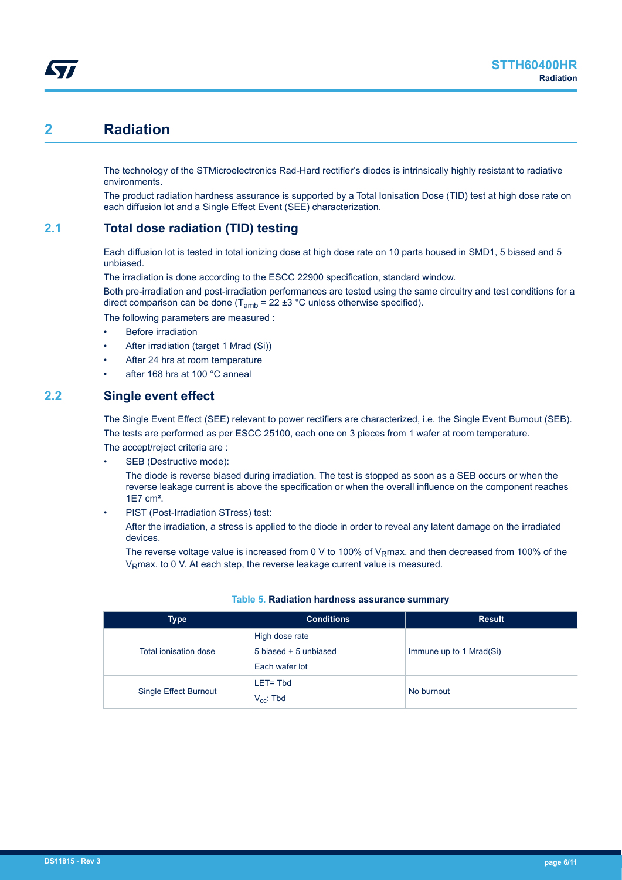## **2 Radiation**

The technology of the STMicroelectronics Rad-Hard rectifier's diodes is intrinsically highly resistant to radiative environments.

The product radiation hardness assurance is supported by a Total Ionisation Dose (TID) test at high dose rate on each diffusion lot and a Single Effect Event (SEE) characterization.

## **2.1 Total dose radiation (TID) testing**

Each diffusion lot is tested in total ionizing dose at high dose rate on 10 parts housed in SMD1, 5 biased and 5 unbiased.

The irradiation is done according to the ESCC 22900 specification, standard window.

Both pre-irradiation and post-irradiation performances are tested using the same circuitry and test conditions for a direct comparison can be done ( $T_{amb}$  = 22 ±3 °C unless otherwise specified).

The following parameters are measured :

- **Before irradiation**
- After irradiation (target 1 Mrad (Si))
- After 24 hrs at room temperature
- after 168 hrs at 100 °C anneal

### **2.2 Single event effect**

The Single Event Effect (SEE) relevant to power rectifiers are characterized, i.e. the Single Event Burnout (SEB). The tests are performed as per ESCC 25100, each one on 3 pieces from 1 wafer at room temperature.

The accept/reject criteria are : SEB (Destructive mode):

The diode is reverse biased during irradiation. The test is stopped as soon as a SEB occurs or when the reverse leakage current is above the specification or when the overall influence on the component reaches 1E7 cm².

PIST (Post-Irradiation STress) test:

After the irradiation, a stress is applied to the diode in order to reveal any latent damage on the irradiated devices.

The reverse voltage value is increased from 0 V to 100% of V<sub>R</sub>max. and then decreased from 100% of the V<sub>R</sub>max. to 0 V. At each step, the reverse leakage current value is measured.

| Type                  | <b>Conditions</b>     | <b>Result</b>           |
|-----------------------|-----------------------|-------------------------|
|                       | High dose rate        |                         |
| Total ionisation dose | 5 biased + 5 unbiased | Immune up to 1 Mrad(Si) |
|                       | Each wafer lot        |                         |
|                       | $LET = Thd$           |                         |
| Single Effect Burnout | $V_{cc}$ : Tbd        | No burnout              |

#### **Table 5. Radiation hardness assurance summary**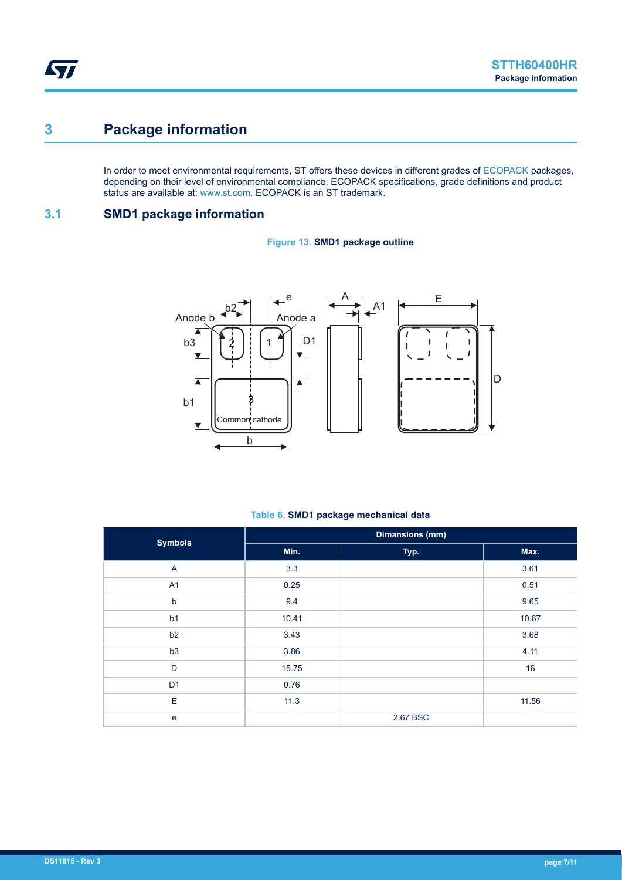## **3 Package information**

In order to meet environmental requirements, ST offers these devices in different grades of [ECOPACK](https://www.st.com/ecopack) packages, depending on their level of environmental compliance. ECOPACK specifications, grade definitions and product status are available at: [www.st.com.](http://www.st.com) ECOPACK is an ST trademark.

## **3.1 SMD1 package information**





#### **Table 6. SMD1 package mechanical data**

| <b>Symbols</b> |       | <b>Dimansions (mm)</b> |       |  |  |  |
|----------------|-------|------------------------|-------|--|--|--|
|                | Min.  | Typ.                   | Max.  |  |  |  |
| $\overline{A}$ | 3.3   |                        | 3.61  |  |  |  |
| A1             | 0.25  |                        | 0.51  |  |  |  |
| $\mathsf b$    | 9.4   |                        | 9.65  |  |  |  |
| b <sub>1</sub> | 10.41 |                        | 10.67 |  |  |  |
| b2             | 3.43  |                        | 3.68  |  |  |  |
| b3             | 3.86  |                        | 4.11  |  |  |  |
| D              | 15.75 |                        | 16    |  |  |  |
| D <sub>1</sub> | 0.76  |                        |       |  |  |  |
| E              | 11.3  |                        | 11.56 |  |  |  |
| e              |       | 2.67 BSC               |       |  |  |  |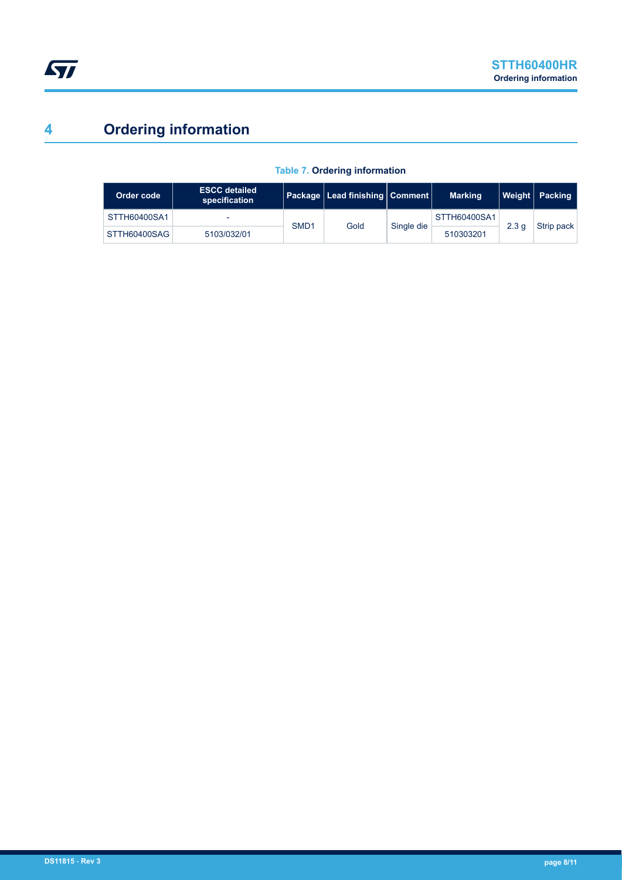# <span id="page-7-0"></span>**4 Ordering information**

| Order code   | <b>ESCC detailed</b><br>specification |                  | Package   Lead finishing   Comment |            | <b>Marking</b> | Weight           | Packing    |
|--------------|---------------------------------------|------------------|------------------------------------|------------|----------------|------------------|------------|
| STTH60400SA1 | -                                     | SMD <sub>1</sub> | Gold                               | Single die | STTH60400SA1   | 2.3 <sub>a</sub> | Strip pack |
| STTH60400SAG | 5103/032/01                           |                  |                                    |            | 510303201      |                  |            |

### **Table 7. Ordering information**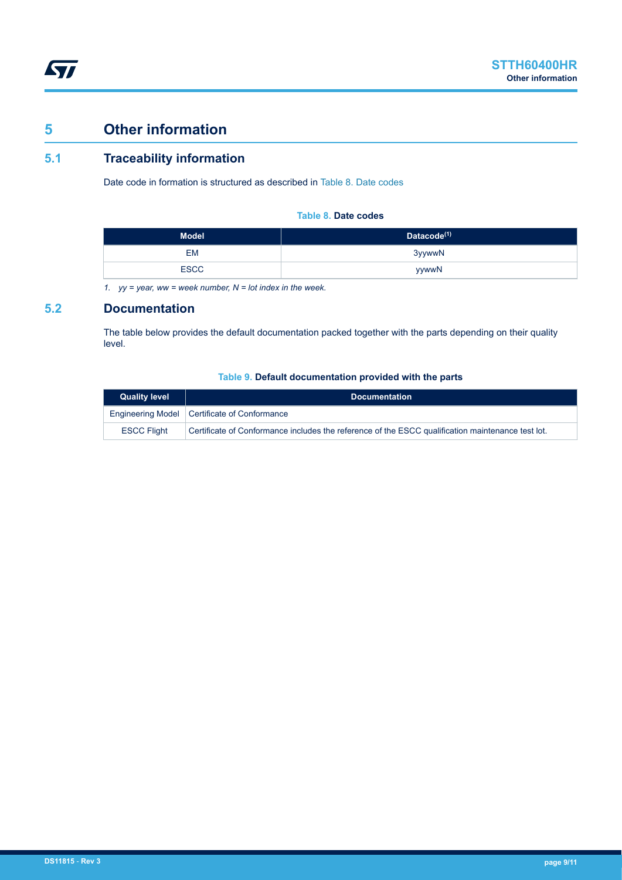## **5 Other information**

## **5.1 Traceability information**

Date code in formation is structured as described in Table 8. Date codes

### **Table 8. Date codes**

| <b>Model</b> | Datacode <sup>(1)</sup> |
|--------------|-------------------------|
| EM           | 3yywwN                  |
| <b>ESCC</b>  | yywwN                   |

*1. yy = year, ww = week number, N = lot index in the week.*

### **5.2 Documentation**

The table below provides the default documentation packed together with the parts depending on their quality level.

### **Table 9. Default documentation provided with the parts**

| <b>Quality level</b> | <b>Documentation</b>                                                                              |
|----------------------|---------------------------------------------------------------------------------------------------|
|                      | Engineering Model   Certificate of Conformance                                                    |
| <b>ESCC Flight</b>   | Certificate of Conformance includes the reference of the ESCC qualification maintenance test lot. |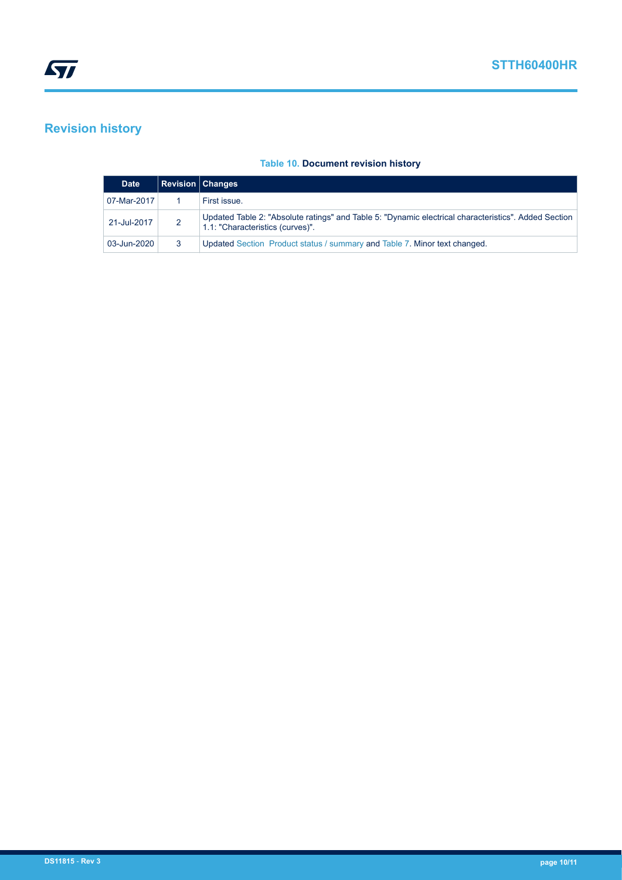## **Revision history**

### **Table 10. Document revision history**

| <b>Date</b> |   | <b>Revision   Changes</b>                                                                                                                |
|-------------|---|------------------------------------------------------------------------------------------------------------------------------------------|
| 07-Mar-2017 |   | First issue.                                                                                                                             |
| 21-Jul-2017 | 2 | Updated Table 2: "Absolute ratings" and Table 5: "Dynamic electrical characteristics". Added Section<br>1.1: "Characteristics (curves)". |
| 03-Jun-2020 |   | Updated Section Product status / summary and Table 7. Minor text changed.                                                                |